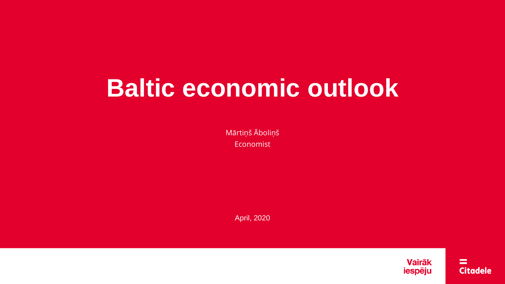# **Baltic economic outlook**

Mārtiņš Āboliņš Economist

April, 2020

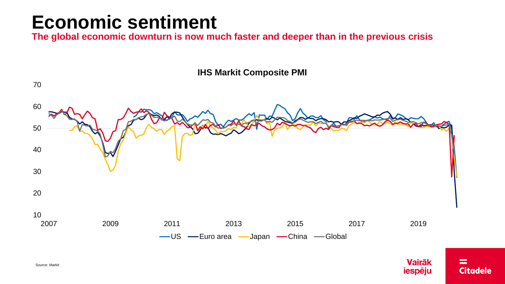#### **Economic sentiment**

**The global economic downturn is now much faster and deeper than in the previous crisis**

**IHS Markit Composite PMI**



**Vairāk** 

iespēju

=

**Citadele** 

70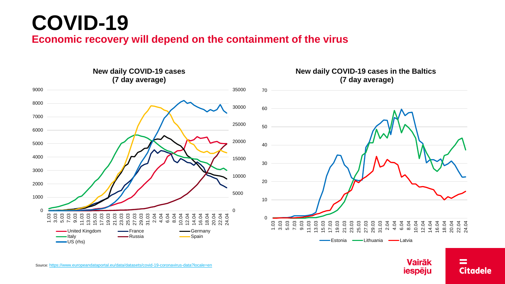# **COVID-19**

**Economic recovery will depend on the containment of the virus**



Source: <https://www.europeandataportal.eu/data/datasets/covid-19-coronavirus-data?locale=en>

**Vairāk** iespēju

#### ≕ **Citadele**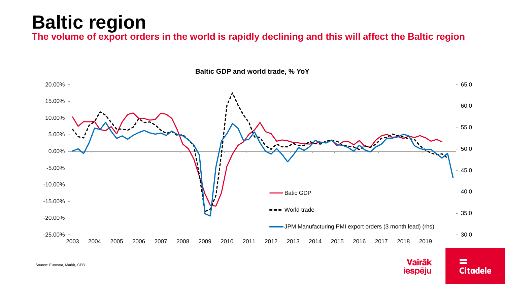## **Baltic region**

**The volume of export orders in the world is rapidly declining and this will affect the Baltic region**



**Vairāk** 

iespēju

=

**Citadele** 

**Baltic GDP and world trade, % YoY**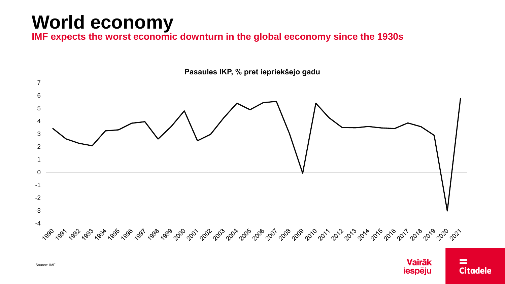# **World economy**

IMF expects the worst economic downturn in the global eeconomy since the 1930s



**Vairāk** 

iespēju

=

**Citadele** 

Pasaules IKP, % pret iepriekšejo gadu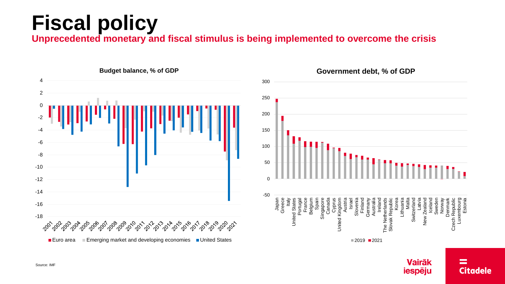# **Fiscal policy**

**Unprecedented monetary and fiscal stimulus is being implemented to overcome the crisis**



**Vairāk** 

iespēju

 $=$ 

**Citadele** 

Source: IMF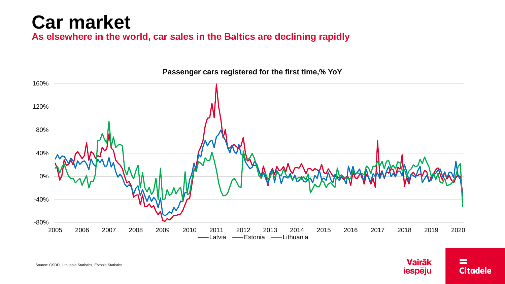## **Car market**

**As elsewhere in the world, car sales in the Baltics are declining rapidly**



**Vairāk** 

iespēju

≕

**Citadele** 

**Passenger cars registered for the first time,% YoY**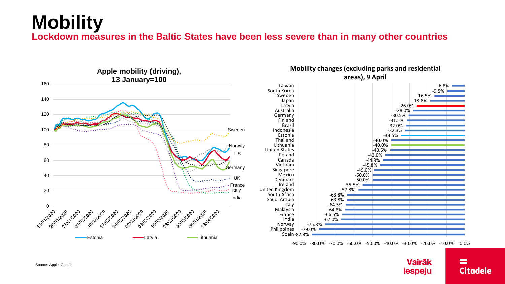#### **Mobility Lockdown measures in the Baltic States have been less severe than in many other countries**



-90.0% -80.0% -70.0% -60.0% -50.0% -40.0% -30.0% -20.0% -10.0% 0.0%



 $=$ 

**Citadele**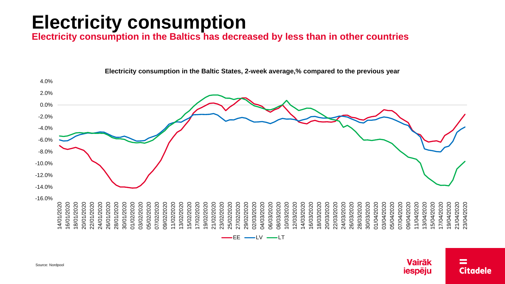# **Electricity consumption**

**Electricity consumption in the Baltics has decreased by less than in other countries**



**Electricity consumption in the Baltic States, 2-week average,% compared to the previous year**



**Vairāk** iespēju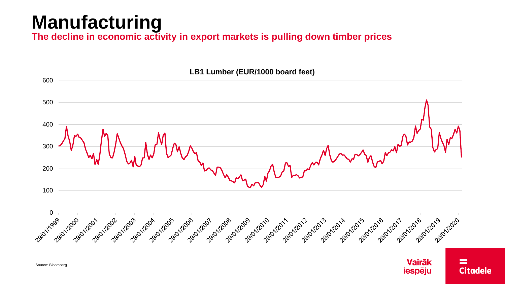### **Manufacturing**

**The decline in economic activity in export markets is pulling down timber prices**